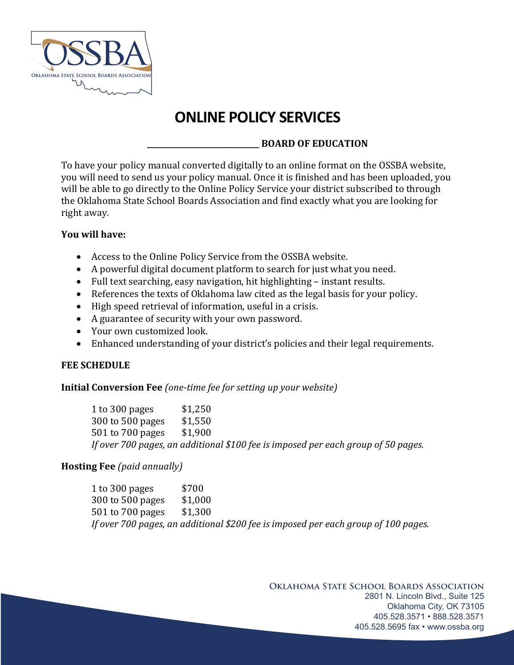

# **ONLINE POLICY SERVICES**

## **\_\_\_\_\_\_\_\_\_\_\_\_\_\_\_\_\_\_\_\_\_\_\_\_\_\_\_\_\_\_ BOARD OF EDUCATION**

To have your policy manual converted digitally to an online format on the OSSBA website, you will need to send us your policy manual. Once it is finished and has been uploaded, you will be able to go directly to the Online Policy Service your district subscribed to through the Oklahoma State School Boards Association and find exactly what you are looking for right away.

### **You will have:**

- Access to the Online Policy Service from the OSSBA website.
- A powerful digital document platform to search for just what you need.
- Full text searching, easy navigation, hit highlighting  $-$  instant results.
- References the texts of Oklahoma law cited as the legal basis for your policy.
- $\bullet$  High speed retrieval of information, useful in a crisis.
- A guarantee of security with your own password.
- Your own customized look.
- Enhanced understanding of your district's policies and their legal requirements.

#### **FEE SCHEDULE**

#### **Initial Conversion Fee** (one-time fee for setting up your website)

1 to 300 pages \$1,250 300 to 500 pages \$1,550 501 to 700 pages \$1,900 *If* over 700 pages, an additional \$100 fee is imposed per each group of 50 pages.

## **Hosting Fee** (paid annually)

1 to 300 pages \$700 300 to 500 pages \$1,000 501 to 700 pages \$1,300 If over 700 pages, an additional \$200 fee is imposed per each group of 100 pages.